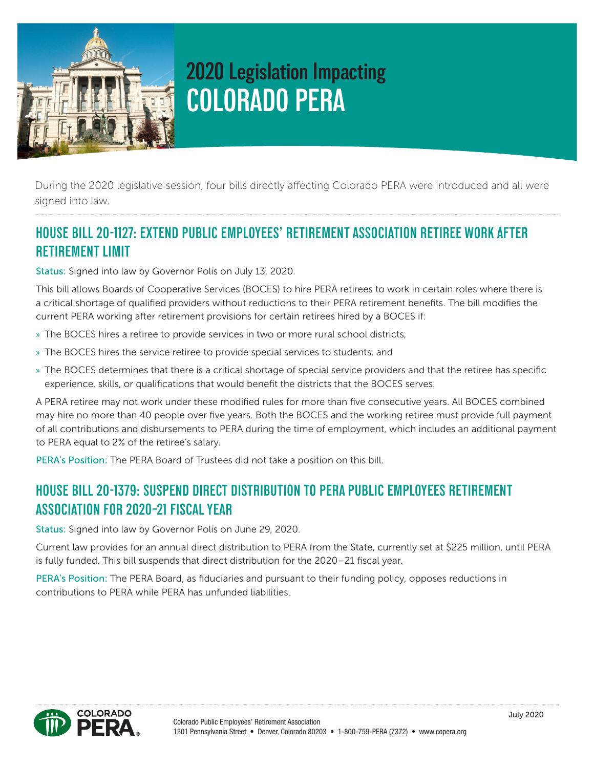

# **2020 Legislation Impacting COLORADO PERA**

During the 2020 legislative session, four bills directly affecting Colorado PERA were introduced and all were signed into law.

## **HOUSE BILL 20-1127: EXTEND PUBLIC EMPLOYEES' RETIREMENT ASSOCIATION RETIREE WORK AFTER RETIREMENT LIMIT**

Status: Signed into law by Governor Polis on July 13, 2020.

This bill allows Boards of Cooperative Services (BOCES) to hire PERA retirees to work in certain roles where there is a critical shortage of qualified providers without reductions to their PERA retirement benefits. The bill modifies the current PERA working after retirement provisions for certain retirees hired by a BOCES if:

- » The BOCES hires a retiree to provide services in two or more rural school districts,
- » The BOCES hires the service retiree to provide special services to students, and
- » The BOCES determines that there is a critical shortage of special service providers and that the retiree has specific experience, skills, or qualifications that would benefit the districts that the BOCES serves.

A PERA retiree may not work under these modified rules for more than five consecutive years. All BOCES combined may hire no more than 40 people over five years. Both the BOCES and the working retiree must provide full payment of all contributions and disbursements to PERA during the time of employment, which includes an additional payment to PERA equal to 2% of the retiree's salary.

PERA's Position: The PERA Board of Trustees did not take a position on this bill.

#### **HOUSE BILL 20-1379: SUSPEND DIRECT DISTRIBUTION TO PERA PUBLIC EMPLOYEES RETIREMENT ASSOCIATION FOR 2020–21 FISCAL YEAR**

Status: Signed into law by Governor Polis on June 29, 2020.

Current law provides for an annual direct distribution to PERA from the State, currently set at \$225 million, until PERA is fully funded. This bill suspends that direct distribution for the 2020–21 fiscal year.

PERA's Position: The PERA Board, as fiduciaries and pursuant to their funding policy, opposes reductions in contributions to PERA while PERA has unfunded liabilities.